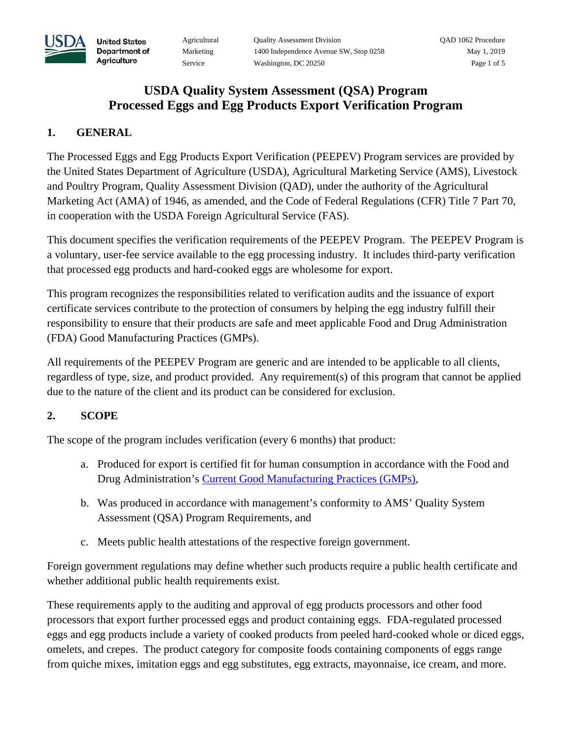

# **USDA Quality System Assessment (QSA) Program Processed Eggs and Egg Products Export Verification Program**

### **1. GENERAL**

**United States** Department of Agriculture

The Processed Eggs and Egg Products Export Verification (PEEPEV) Program services are provided by the United States Department of Agriculture (USDA), Agricultural Marketing Service (AMS), Livestock and Poultry Program, Quality Assessment Division (QAD), under the authority of the Agricultural Marketing Act (AMA) of 1946, as amended, and the Code of Federal Regulations (CFR) Title 7 Part 70, in cooperation with the USDA Foreign Agricultural Service (FAS).

This document specifies the verification requirements of the PEEPEV Program. The PEEPEV Program is a voluntary, user-fee service available to the egg processing industry. It includes third-party verification that processed egg products and hard-cooked eggs are wholesome for export.

This program recognizes the responsibilities related to verification audits and the issuance of export certificate services contribute to the protection of consumers by helping the egg industry fulfill their responsibility to ensure that their products are safe and meet applicable Food and Drug Administration (FDA) Good Manufacturing Practices (GMPs).

All requirements of the PEEPEV Program are generic and are intended to be applicable to all clients, regardless of type, size, and product provided. Any requirement(s) of this program that cannot be applied due to the nature of the client and its product can be considered for exclusion.

# **2. SCOPE**

The scope of the program includes verification (every 6 months) that product:

- a. Produced for export is certified fit for human consumption in accordance with the Food and Drug Administration's [Current Good Manufacturing Practices \(GMPs\),](https://www.ecfr.gov/cgi-bin/text-idx?SID=cc11050f85fc823306e029678c6f1f10&mc=true&node=pt21.2.110&rgn=div5)
- b. Was produced in accordance with management's conformity to AMS' Quality System Assessment (QSA) Program Requirements, and
- c. Meets public health attestations of the respective foreign government.

Foreign government regulations may define whether such products require a public health certificate and whether additional public health requirements exist.

These requirements apply to the auditing and approval of egg products processors and other food processors that export further processed eggs and product containing eggs. FDA-regulated processed eggs and egg products include a variety of cooked products from peeled hard-cooked whole or diced eggs, omelets, and crepes. The product category for composite foods containing components of eggs range from quiche mixes, imitation eggs and egg substitutes, egg extracts, mayonnaise, ice cream, and more.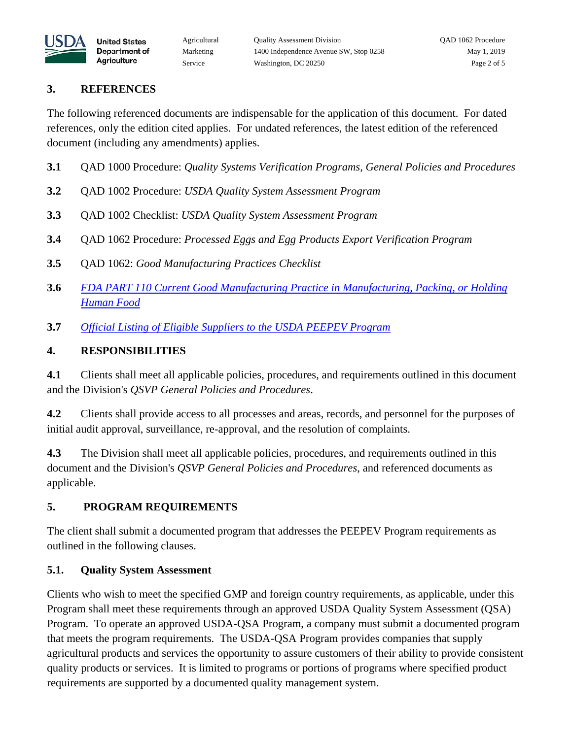

#### **3. REFERENCES**

**United States** Department of Agriculture

The following referenced documents are indispensable for the application of this document. For dated references, only the edition cited applies. For undated references, the latest edition of the referenced document (including any amendments) applies.

- **3.1** QAD 1000 Procedure: *Quality Systems Verification Programs, General Policies and Procedures*
- **3.2** QAD 1002 Procedure: *USDA Quality System Assessment Program*
- **3.3** QAD 1002 Checklist: *USDA Quality System Assessment Program*
- **3.4** QAD 1062 Procedure: *Processed Eggs and Egg Products Export Verification Program*
- **3.5** QAD 1062: *Good Manufacturing Practices Checklist*
- **3.6** *[FDA PART 110 Current Good Manufacturing Practice in Manufacturing, Packing, or Holding](https://www.ecfr.gov/cgi-bin/text-idx?SID=cc11050f85fc823306e029678c6f1f10&mc=true&node=pt21.2.110&rgn=div5)  [Human Food](https://www.ecfr.gov/cgi-bin/text-idx?SID=cc11050f85fc823306e029678c6f1f10&mc=true&node=pt21.2.110&rgn=div5)*
- **3.7** *[Official Listing of Eligible Suppliers to the USDA PEEPEV Program](https://www.ams.usda.gov/services/business-listings)*

#### **4. RESPONSIBILITIES**

**4.1** Clients shall meet all applicable policies, procedures, and requirements outlined in this document and the Division's *QSVP General Policies and Procedures*.

**4.2** Clients shall provide access to all processes and areas, records, and personnel for the purposes of initial audit approval, surveillance, re-approval, and the resolution of complaints.

**4.3** The Division shall meet all applicable policies, procedures, and requirements outlined in this document and the Division's *QSVP General Policies and Procedures*, and referenced documents as applicable.

# **5. PROGRAM REQUIREMENTS**

The client shall submit a documented program that addresses the PEEPEV Program requirements as outlined in the following clauses.

# **5.1. Quality System Assessment**

Clients who wish to meet the specified GMP and foreign country requirements, as applicable, under this Program shall meet these requirements through an approved USDA Quality System Assessment (QSA) Program. To operate an approved USDA-QSA Program, a company must submit a documented program that meets the program requirements. The USDA-QSA Program provides companies that supply agricultural products and services the opportunity to assure customers of their ability to provide consistent quality products or services. It is limited to programs or portions of programs where specified product requirements are supported by a documented quality management system.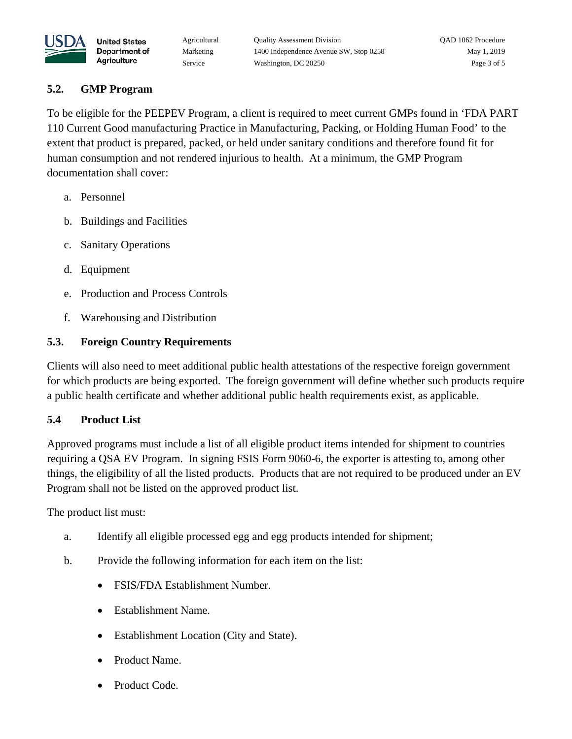

#### **5.2. GMP Program**

**United States** Department of Agriculture

To be eligible for the PEEPEV Program, a client is required to meet current GMPs found in 'FDA PART 110 Current Good manufacturing Practice in Manufacturing, Packing, or Holding Human Food' to the extent that product is prepared, packed, or held under sanitary conditions and therefore found fit for human consumption and not rendered injurious to health. At a minimum, the GMP Program documentation shall cover:

- a. Personnel
- b. Buildings and Facilities
- c. Sanitary Operations
- d. Equipment
- e. Production and Process Controls
- f. Warehousing and Distribution

#### **5.3. Foreign Country Requirements**

Clients will also need to meet additional public health attestations of the respective foreign government for which products are being exported. The foreign government will define whether such products require a public health certificate and whether additional public health requirements exist, as applicable.

#### **5.4 Product List**

Approved programs must include a list of all eligible product items intended for shipment to countries requiring a QSA EV Program. In signing FSIS Form 9060-6, the exporter is attesting to, among other things, the eligibility of all the listed products. Products that are not required to be produced under an EV Program shall not be listed on the approved product list.

The product list must:

- a. Identify all eligible processed egg and egg products intended for shipment;
- b. Provide the following information for each item on the list:
	- FSIS/FDA Establishment Number.
	- Establishment Name.
	- Establishment Location (City and State).
	- Product Name.
	- Product Code.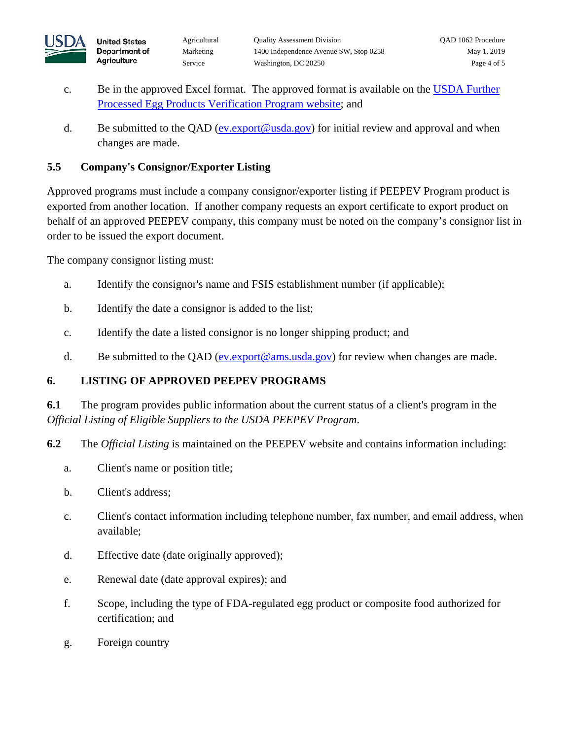

- c. Be in the approved Excel format. The approved format is available on the USDA Further [Processed Egg Products Verification Program website;](https://www.ams.usda.gov/services/imports-exports/further-processed-egg-products-verification-program) and
- d. Be submitted to the QAD [\(ev.export@usda.gov\)](mailto:ev.export@usda.gov) for initial review and approval and when changes are made.

### **5.5 Company's Consignor/Exporter Listing**

Approved programs must include a company consignor/exporter listing if PEEPEV Program product is exported from another location. If another company requests an export certificate to export product on behalf of an approved PEEPEV company, this company must be noted on the company's consignor list in order to be issued the export document.

The company consignor listing must:

**United States** Department of Agriculture

- a. Identify the consignor's name and FSIS establishment number (if applicable);
- b. Identify the date a consignor is added to the list;
- c. Identify the date a listed consignor is no longer shipping product; and
- d. Be submitted to the QAD (ev.export@ams.usda.gov) for review when changes are made.

# **6. LISTING OF APPROVED PEEPEV PROGRAMS**

**6.1** The program provides public information about the current status of a client's program in the *Official Listing of Eligible Suppliers to the USDA PEEPEV Program*.

- **6.2** The *Official Listing* is maintained on the PEEPEV website and contains information including:
	- a. Client's name or position title;
	- b. Client's address;
	- c. Client's contact information including telephone number, fax number, and email address, when available;
	- d. Effective date (date originally approved);
	- e. Renewal date (date approval expires); and
	- f. Scope, including the type of FDA-regulated egg product or composite food authorized for certification; and
	- g. Foreign country